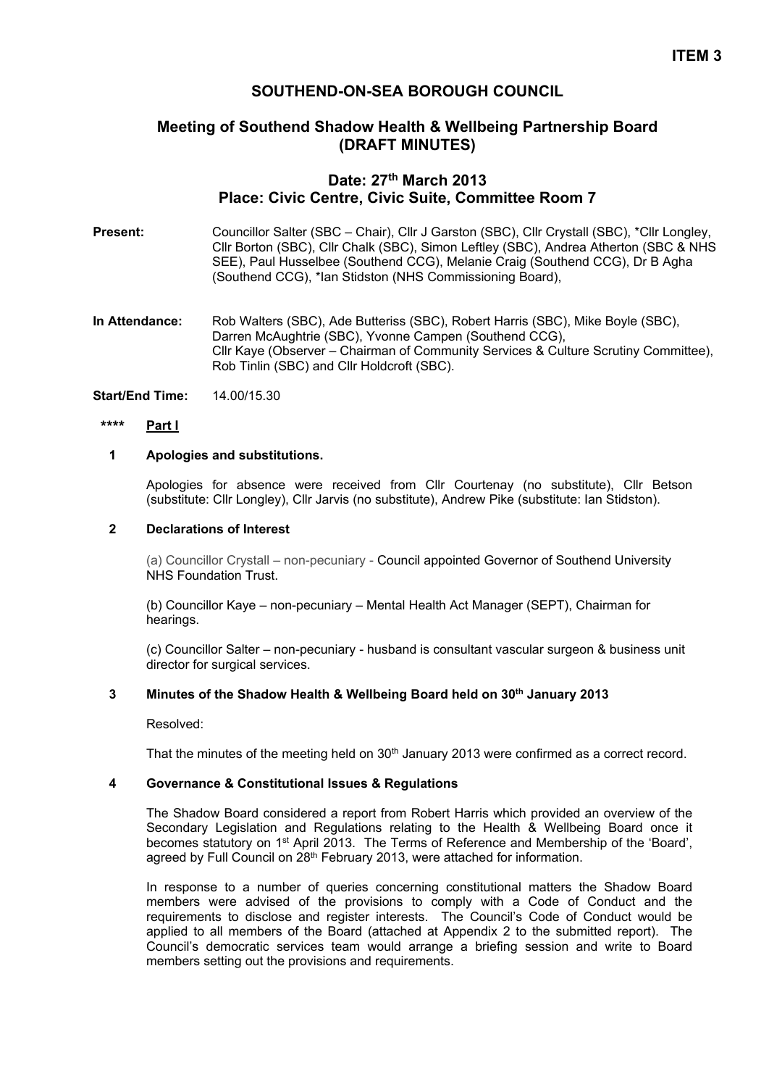# **ITEM 3**

## **SOUTHEND-ON-SEA BOROUGH COUNCIL**

## **Meeting of Southend Shadow Health & Wellbeing Partnership Board (DRAFT MINUTES)**

# **Date: 27th March 2013 Place: Civic Centre, Civic Suite, Committee Room 7**

- Present: Councillor Salter (SBC Chair), Cllr J Garston (SBC), Cllr Crystall (SBC), \*Cllr Longley, Cllr Borton (SBC), Cllr Chalk (SBC), Simon Leftley (SBC), Andrea Atherton (SBC & NHS SEE), Paul Husselbee (Southend CCG), Melanie Craig (Southend CCG), Dr B Agha (Southend CCG), \*Ian Stidston (NHS Commissioning Board),
- **In Attendance:** Rob Walters (SBC), Ade Butteriss (SBC), Robert Harris (SBC), Mike Boyle (SBC), Darren McAughtrie (SBC), Yvonne Campen (Southend CCG), Cllr Kaye (Observer – Chairman of Community Services & Culture Scrutiny Committee), Rob Tinlin (SBC) and Cllr Holdcroft (SBC).

**Start/End Time:** 14.00/15.30

#### **\*\*\*\* Part I**

#### **1 Apologies and substitutions.**

Apologies for absence were received from Cllr Courtenay (no substitute), Cllr Betson (substitute: Cllr Longley), Cllr Jarvis (no substitute), Andrew Pike (substitute: Ian Stidston).

## **2 Declarations of Interest**

(a) Councillor Crystall – non-pecuniary - Council appointed Governor of Southend University NHS Foundation Trust.

(b) Councillor Kaye – non-pecuniary – Mental Health Act Manager (SEPT), Chairman for hearings.

(c) Councillor Salter – non-pecuniary - husband is consultant vascular surgeon & business unit director for surgical services.

#### **3 Minutes of the Shadow Health & Wellbeing Board held on 30th January 2013**

Resolved:

That the minutes of the meeting held on 30<sup>th</sup> January 2013 were confirmed as a correct record.

## **4 Governance & Constitutional Issues & Regulations**

The Shadow Board considered a report from Robert Harris which provided an overview of the Secondary Legislation and Regulations relating to the Health & Wellbeing Board once it becomes statutory on 1<sup>st</sup> April 2013. The Terms of Reference and Membership of the 'Board', agreed by Full Council on 28<sup>th</sup> February 2013, were attached for information.

In response to a number of queries concerning constitutional matters the Shadow Board members were advised of the provisions to comply with a Code of Conduct and the requirements to disclose and register interests. The Council's Code of Conduct would be applied to all members of the Board (attached at Appendix 2 to the submitted report). The Council's democratic services team would arrange a briefing session and write to Board members setting out the provisions and requirements.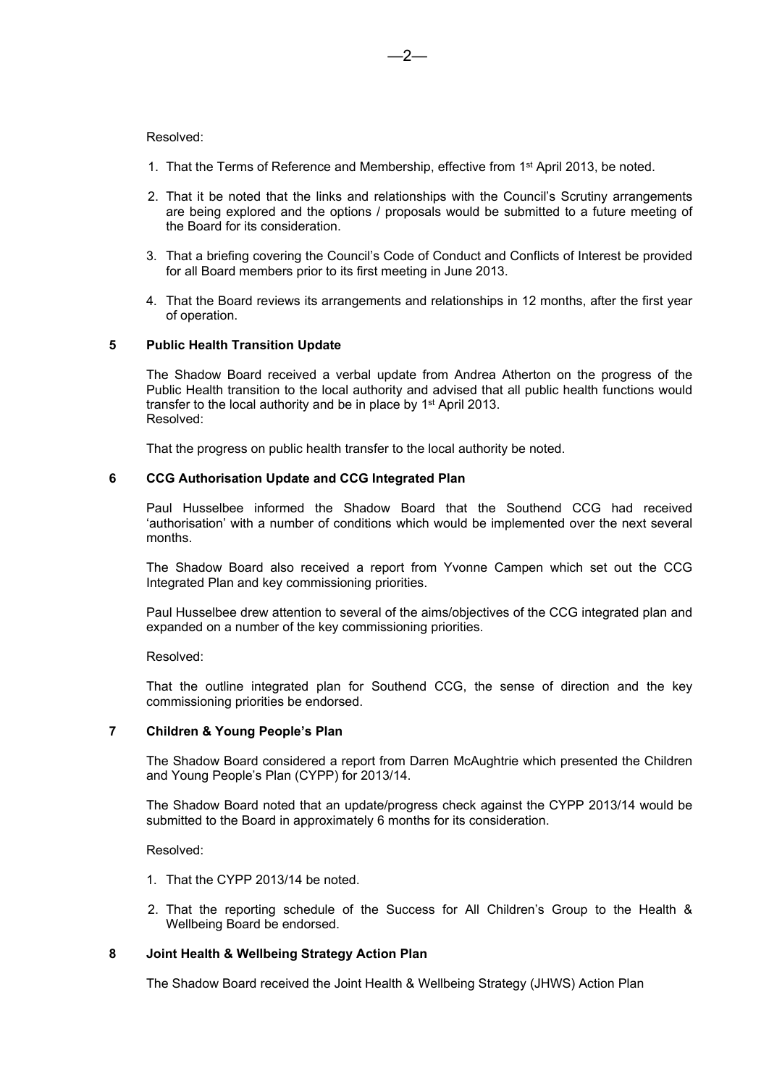#### Resolved:

- 1. That the Terms of Reference and Membership, effective from 1 st April 2013, be noted.
- 2. That it be noted that the links and relationships with the Council's Scrutiny arrangements are being explored and the options / proposals would be submitted to a future meeting of the Board for its consideration.
- 3. That a briefing covering the Council's Code of Conduct and Conflicts of Interest be provided for all Board members prior to its first meeting in June 2013.
- 4. That the Board reviews its arrangements and relationships in 12 months, after the first year of operation.

#### **5 Public Health Transition Update**

The Shadow Board received a verbal update from Andrea Atherton on the progress of the Public Health transition to the local authority and advised that all public health functions would transfer to the local authority and be in place by 1<sup>st</sup> April 2013. Resolved:

That the progress on public health transfer to the local authority be noted.

#### **6 CCG Authorisation Update and CCG Integrated Plan**

Paul Husselbee informed the Shadow Board that the Southend CCG had received 'authorisation' with a number of conditions which would be implemented over the next several months.

The Shadow Board also received a report from Yvonne Campen which set out the CCG Integrated Plan and key commissioning priorities.

Paul Husselbee drew attention to several of the aims/objectives of the CCG integrated plan and expanded on a number of the key commissioning priorities.

#### Resolved:

That the outline integrated plan for Southend CCG, the sense of direction and the key commissioning priorities be endorsed.

### **7 Children & Young People's Plan**

The Shadow Board considered a report from Darren McAughtrie which presented the Children and Young People's Plan (CYPP) for 2013/14.

The Shadow Board noted that an update/progress check against the CYPP 2013/14 would be submitted to the Board in approximately 6 months for its consideration.

Resolved:

- 1. That the CYPP 2013/14 be noted.
- 2. That the reporting schedule of the Success for All Children's Group to the Health & Wellbeing Board be endorsed.

## **8 Joint Health & Wellbeing Strategy Action Plan**

The Shadow Board received the Joint Health & Wellbeing Strategy (JHWS) Action Plan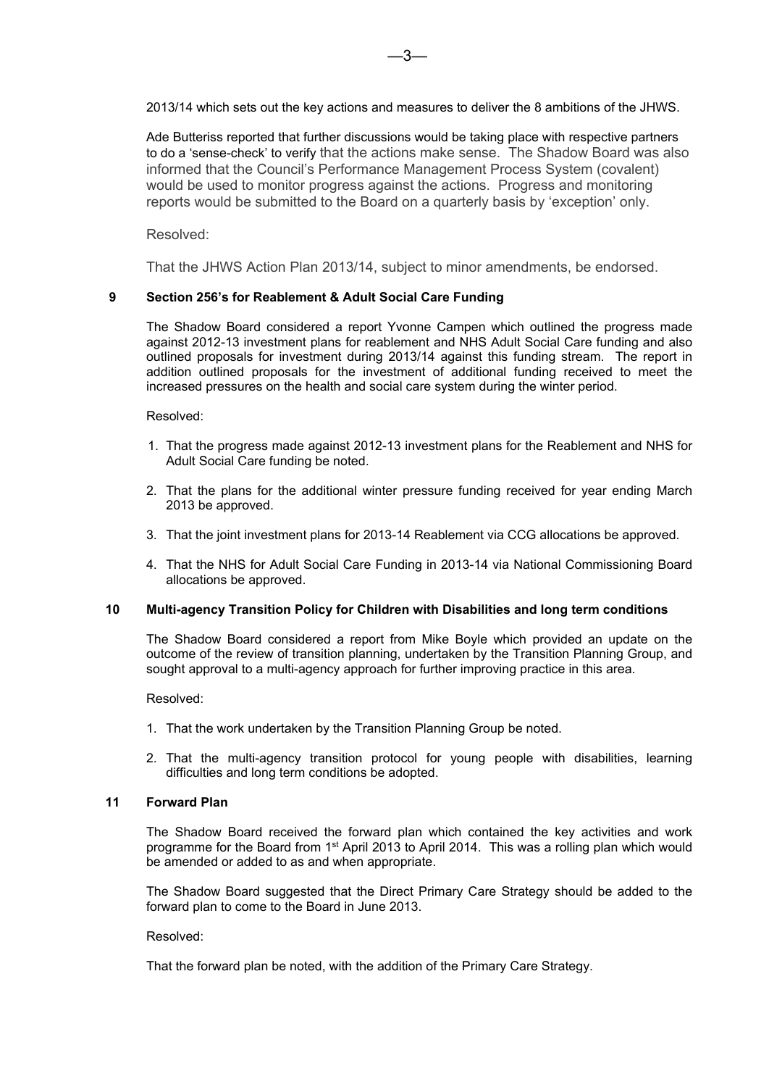2013/14 which sets out the key actions and measures to deliver the 8 ambitions of the JHWS.

Ade Butteriss reported that further discussions would be taking place with respective partners to do a 'sense-check' to verify that the actions make sense. The Shadow Board was also informed that the Council's Performance Management Process System (covalent) would be used to monitor progress against the actions. Progress and monitoring reports would be submitted to the Board on a quarterly basis by 'exception' only.

## Resolved:

That the JHWS Action Plan 2013/14, subject to minor amendments, be endorsed.

## **9 Section 256's for Reablement & Adult Social Care Funding**

The Shadow Board considered a report Yvonne Campen which outlined the progress made against 2012-13 investment plans for reablement and NHS Adult Social Care funding and also outlined proposals for investment during 2013/14 against this funding stream. The report in addition outlined proposals for the investment of additional funding received to meet the increased pressures on the health and social care system during the winter period.

#### Resolved:

- 1. That the progress made against 2012-13 investment plans for the Reablement and NHS for Adult Social Care funding be noted.
- 2. That the plans for the additional winter pressure funding received for year ending March 2013 be approved.
- 3. That the joint investment plans for 2013-14 Reablement via CCG allocations be approved.
- 4. That the NHS for Adult Social Care Funding in 2013-14 via National Commissioning Board allocations be approved.

#### **10 Multi-agency Transition Policy for Children with Disabilities and long term conditions**

The Shadow Board considered a report from Mike Boyle which provided an update on the outcome of the review of transition planning, undertaken by the Transition Planning Group, and sought approval to a multi-agency approach for further improving practice in this area.

Resolved:

- 1. That the work undertaken by the Transition Planning Group be noted.
- 2. That the multi-agency transition protocol for young people with disabilities, learning difficulties and long term conditions be adopted.

## **11 Forward Plan**

The Shadow Board received the forward plan which contained the key activities and work programme for the Board from 1<sup>st</sup> April 2013 to April 2014. This was a rolling plan which would be amended or added to as and when appropriate.

The Shadow Board suggested that the Direct Primary Care Strategy should be added to the forward plan to come to the Board in June 2013.

#### Resolved:

That the forward plan be noted, with the addition of the Primary Care Strategy.